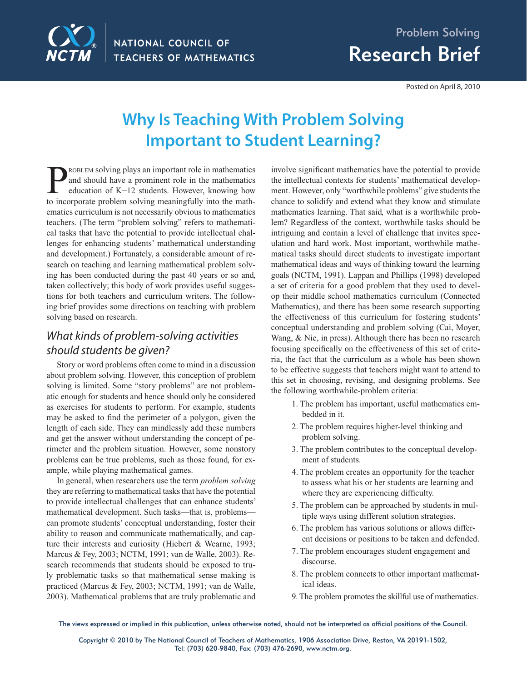

Posted on April 8, 2010

# **Why Is Teaching With Problem Solving Important to Student Learning?**

ROBLEM solving plays an important role in mathematics and should have a prominent role in the mathematics education of K−12 students. However, knowing how to incorporate problem solving meaningfully into the mathematics curriculum is not necessarily obvious to mathematics teachers. (The term "problem solving" refers to mathematical tasks that have the potential to provide intellectual challenges for enhancing students' mathematical understanding and development.) Fortunately, a considerable amount of research on teaching and learning mathematical problem solving has been conducted during the past 40 years or so and, taken collectively; this body of work provides useful suggestions for both teachers and curriculum writers. The following brief provides some directions on teaching with problem solving based on research.

## What kinds of problem-solving activities should students be given?

Story or word problems often come to mind in a discussion about problem solving. However, this conception of problem solving is limited. Some "story problems" are not problematic enough for students and hence should only be considered as exercises for students to perform. For example, students may be asked to find the perimeter of a polygon, given the length of each side. They can mindlessly add these numbers and get the answer without understanding the concept of perimeter and the problem situation. However, some nonstory problems can be true problems, such as those found, for example, while playing mathematical games.

In general, when researchers use the term *problem solving* they are referring to mathematical tasks that have the potential to provide intellectual challenges that can enhance students' mathematical development. Such tasks—that is, problems can promote students' conceptual understanding, foster their ability to reason and communicate mathematically, and capture their interests and curiosity (Hiebert & Wearne, 1993; Marcus & Fey, 2003; NCTM, 1991; van de Walle, 2003). Research recommends that students should be exposed to truly problematic tasks so that mathematical sense making is practiced (Marcus & Fey, 2003; NCTM, 1991; van de Walle, 2003). Mathematical problems that are truly problematic and involve significant mathematics have the potential to provide the intellectual contexts for students' mathematical development. However, only "worthwhile problems" give students the chance to solidify and extend what they know and stimulate mathematics learning. That said, what is a worthwhile problem? Regardless of the context, worthwhile tasks should be intriguing and contain a level of challenge that invites speculation and hard work. Most important, worthwhile mathematical tasks should direct students to investigate important mathematical ideas and ways of thinking toward the learning goals (NCTM, 1991). Lappan and Phillips (1998) developed a set of criteria for a good problem that they used to develop their middle school mathematics curriculum (Connected Mathematics), and there has been some research supporting the effectiveness of this curriculum for fostering students' conceptual understanding and problem solving (Cai, Moyer, Wang, & Nie, in press). Although there has been no research focusing specifically on the effectiveness of this set of criteria, the fact that the curriculum as a whole has been shown to be effective suggests that teachers might want to attend to this set in choosing, revising, and designing problems. See the following worthwhile-problem criteria:

- 1. The problem has important, useful mathematics embedded in it.
- 2. The problem requires higher-level thinking and problem solving.
- 3. The problem contributes to the conceptual development of students.
- 4. The problem creates an opportunity for the teacher to assess what his or her students are learning and where they are experiencing difficulty.
- 5. The problem can be approached by students in multiple ways using different solution strategies.
- 6. The problem has various solutions or allows different decisions or positions to be taken and defended.
- 7. The problem encourages student engagement and discourse.
- 8. The problem connects to other important mathematical ideas.
- 9. The problem promotes the skillful use of mathematics.

The views expressed or implied in this publication, unless otherwise noted, should not be interpreted as official positions of the Council.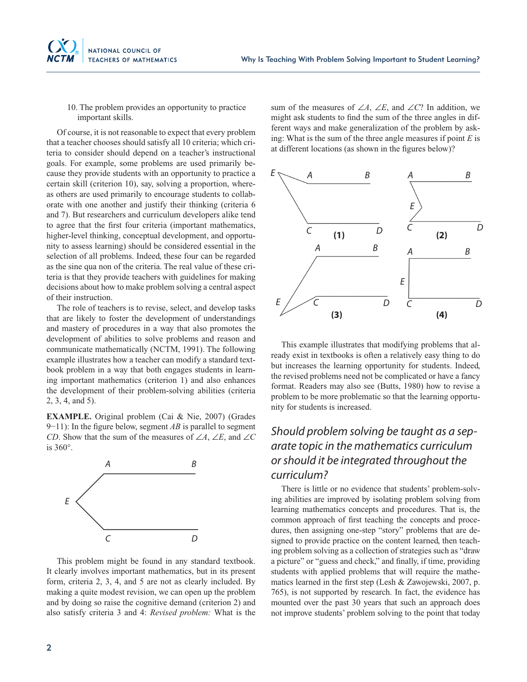

10. The problem provides an opportunity to practice important skills.

Of course, it is not reasonable to expect that every problem that a teacher chooses should satisfy all 10 criteria; which criteria to consider should depend on a teacher's instructional goals. For example, some problems are used primarily because they provide students with an opportunity to practice a certain skill (criterion 10), say, solving a proportion, whereas others are used primarily to encourage students to collaborate with one another and justify their thinking (criteria 6 and 7). But researchers and curriculum developers alike tend to agree that the first four criteria (important mathematics, higher-level thinking, conceptual development, and opportunity to assess learning) should be considered essential in the selection of all problems. Indeed, these four can be regarded as the sine qua non of the criteria. The real value of these criteria is that they provide teachers with guidelines for making decisions about how to make problem solving a central aspect of their instruction.

The role of teachers is to revise, select, and develop tasks that are likely to foster the development of understandings and mastery of procedures in a way that also promotes the development of abilities to solve problems and reason and communicate mathematically (NCTM, 1991). The following example illustrates how a teacher can modify a standard textbook problem in a way that both engages students in learning important mathematics (criterion 1) and also enhances the development of their problem-solving abilities (criteria 2, 3, 4, and 5).

**EXAMPLE.** Original problem (Cai & Nie, 2007) (Grades 9−11): In the figure below, segment *AB* is parallel to segment *CD*. Show that the sum of the measures of ∠*A*, ∠*E*, and ∠*C* is 360°.



This problem might be found in any standard textbook. It clearly involves important mathematics, but in its present form, criteria 2, 3, 4, and 5 are not as clearly included. By making a quite modest revision, we can open up the problem and by doing so raise the cognitive demand (criterion 2) and also satisfy criteria 3 and 4: *Revised problem:* What is the sum of the measures of ∠*A*, ∠*E*, and ∠*C*? In addition, we might ask students to find the sum of the three angles in different ways and make generalization of the problem by asking: What is the sum of the three angle measures if point *E* is at different locations (as shown in the figures below)?



This example illustrates that modifying problems that already exist in textbooks is often a relatively easy thing to do but increases the learning opportunity for students. Indeed, the revised problems need not be complicated or have a fancy format. Readers may also see (Butts, 1980) how to revise a problem to be more problematic so that the learning opportunity for students is increased.

### Should problem solving be taught as a separate topic in the mathematics curriculum or should it be integrated throughout the curriculum?

There is little or no evidence that students' problem-solving abilities are improved by isolating problem solving from learning mathematics concepts and procedures. That is, the common approach of first teaching the concepts and procedures, then assigning one-step "story" problems that are designed to provide practice on the content learned, then teaching problem solving as a collection of strategies such as "draw a picture" or "guess and check," and finally, if time, providing students with applied problems that will require the mathematics learned in the first step (Lesh & Zawojewski, 2007, p. 765), is not supported by research. In fact, the evidence has mounted over the past 30 years that such an approach does not improve students' problem solving to the point that today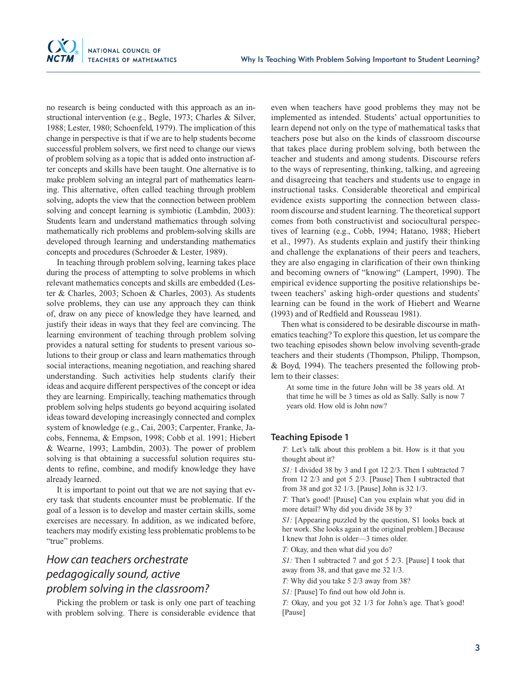

no research is being conducted with this approach as an instructional intervention (e.g., Begle, 1973; Charles & Silver, 1988; Lester, 1980; Schoenfeld, 1979). The implication of this change in perspective is that if we are to help students become successful problem solvers, we first need to change our views of problem solving as a topic that is added onto instruction after concepts and skills have been taught. One alternative is to make problem solving an integral part of mathematics learning. This alternative, often called teaching through problem solving, adopts the view that the connection between problem solving and concept learning is symbiotic (Lambdin, 2003): Students learn and understand mathematics through solving mathematically rich problems and problem-solving skills are developed through learning and understanding mathematics concepts and procedures (Schroeder & Lester, 1989).

In teaching through problem solving, learning takes place during the process of attempting to solve problems in which relevant mathematics concepts and skills are embedded (Lester & Charles, 2003; Schoen & Charles, 2003). As students solve problems, they can use any approach they can think of, draw on any piece of knowledge they have learned, and justify their ideas in ways that they feel are convincing. The learning environment of teaching through problem solving provides a natural setting for students to present various solutions to their group or class and learn mathematics through social interactions, meaning negotiation, and reaching shared understanding. Such activities help students clarify their ideas and acquire different perspectives of the concept or idea they are learning. Empirically, teaching mathematics through problem solving helps students go beyond acquiring isolated ideas toward developing increasingly connected and complex system of knowledge (e.g., Cai, 2003; Carpenter, Franke, Jacobs, Fennema, & Empson, 1998; Cobb et al. 1991; Hiebert & Wearne, 1993; Lambdin, 2003). The power of problem solving is that obtaining a successful solution requires students to refine, combine, and modify knowledge they have already learned.

It is important to point out that we are not saying that every task that students encounter must be problematic. If the goal of a lesson is to develop and master certain skills, some exercises are necessary. In addition, as we indicated before, teachers may modify existing less problematic problems to be "true" problems.

### How can teachers orchestrate pedagogically sound, active problem solving in the classroom?

Picking the problem or task is only one part of teaching with problem solving. There is considerable evidence that even when teachers have good problems they may not be implemented as intended. Students' actual opportunities to learn depend not only on the type of mathematical tasks that teachers pose but also on the kinds of classroom discourse that takes place during problem solving, both between the teacher and students and among students. Discourse refers to the ways of representing, thinking, talking, and agreeing and disagreeing that teachers and students use to engage in instructional tasks. Considerable theoretical and empirical evidence exists supporting the connection between classroom discourse and student learning. The theoretical support comes from both constructivist and sociocultural perspectives of learning (e.g., Cobb, 1994; Hatano, 1988; Hiebert et al., 1997). As students explain and justify their thinking and challenge the explanations of their peers and teachers, they are also engaging in clarification of their own thinking and becoming owners of "knowing" (Lampert, 1990). The empirical evidence supporting the positive relationships between teachers' asking high-order questions and students' learning can be found in the work of Hiebert and Wearne (1993) and of Redfield and Rousseau 1981).

Then what is considered to be desirable discourse in mathematics teaching? To explore this question, let us compare the two teaching episodes shown below involving seventh-grade teachers and their students (Thompson, Philipp, Thompson, & Boyd, 1994). The teachers presented the following problem to their classes:

At some time in the future John will be 38 years old. At that time he will be 3 times as old as Sally. Sally is now 7 years old. How old is John now?

#### **Teaching Episode 1**

*T:* Let's talk about this problem a bit. How is it that you thought about it?

*S1:* I divided 38 by 3 and I got 12 2/3. Then I subtracted 7 from 12 2/3 and got 5 2/3. [Pause] Then I subtracted that from 38 and got 32 1/3. [Pause] John is 32 1/3.

*T:* That's good! [Pause] Can you explain what you did in more detail? Why did you divide 38 by 3?

*S1:* [Appearing puzzled by the question, S1 looks back at her work. She looks again at the original problem.] Because I knew that John is older—3 times older.

*T:* Okay, and then what did you do?

*S1:* Then I subtracted 7 and got 5 2/3. [Pause] I took that away from 38, and that gave me 32 1/3.

*T:* Why did you take 5 2/3 away from 38?

*S1*: [Pause] To find out how old John is.

*T:* Okay, and you got 32 1/3 for John's age. That's good! [Pause]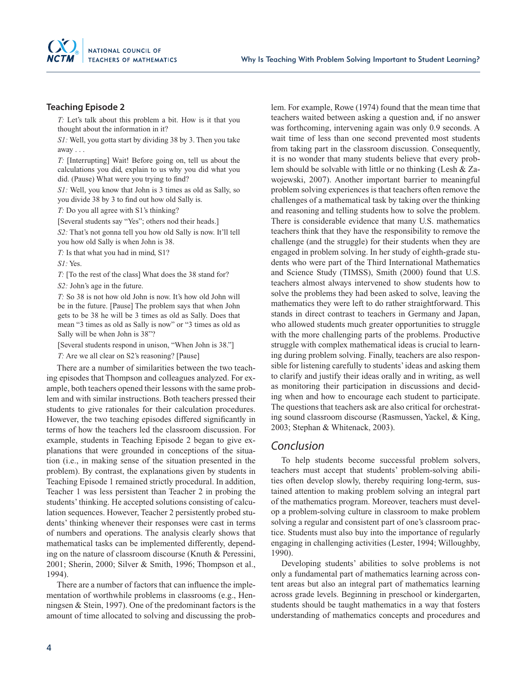

#### **Teaching Episode 2**

*T:* Let's talk about this problem a bit. How is it that you thought about the information in it?

*S1:* Well, you gotta start by dividing 38 by 3. Then you take away . . .

*T:* [Interrupting] Wait! Before going on, tell us about the calculations you did, explain to us why you did what you did. (Pause) What were you trying to find?

*S1:* Well, you know that John is 3 times as old as Sally, so you divide 38 by 3 to find out how old Sally is.

*T:* Do you all agree with S1's thinking?

[Several students say "Yes"; others nod their heads.]

*S2:* That's not gonna tell you how old Sally is now. It'll tell you how old Sally is when John is 38.

*T:* Is that what you had in mind, S1?

*S1:* Yes.

*T:* [To the rest of the class] What does the 38 stand for? *S2:* John's age in the future.

*T:* So 38 is not how old John is now. It's how old John will be in the future. [Pause] The problem says that when John gets to be 38 he will be 3 times as old as Sally. Does that mean "3 times as old as Sally is now" or "3 times as old as Sally will be when John is 38"?

[Several students respond in unison, "When John is 38."]

*T:* Are we all clear on S2's reasoning? [Pause]

There are a number of similarities between the two teaching episodes that Thompson and colleagues analyzed. For example, both teachers opened their lessons with the same problem and with similar instructions. Both teachers pressed their students to give rationales for their calculation procedures. However, the two teaching episodes differed significantly in terms of how the teachers led the classroom discussion. For example, students in Teaching Episode 2 began to give explanations that were grounded in conceptions of the situation (i.e., in making sense of the situation presented in the problem). By contrast, the explanations given by students in Teaching Episode 1 remained strictly procedural. In addition, Teacher 1 was less persistent than Teacher 2 in probing the students' thinking. He accepted solutions consisting of calculation sequences. However, Teacher 2 persistently probed students' thinking whenever their responses were cast in terms of numbers and operations. The analysis clearly shows that mathematical tasks can be implemented differently, depending on the nature of classroom discourse (Knuth & Peressini, 2001; Sherin, 2000; Silver & Smith, 1996; Thompson et al., 1994).

There are a number of factors that can influence the implementation of worthwhile problems in classrooms (e.g., Henningsen & Stein, 1997). One of the predominant factors is the amount of time allocated to solving and discussing the problem. For example, Rowe (1974) found that the mean time that teachers waited between asking a question and, if no answer was forthcoming, intervening again was only 0.9 seconds. A wait time of less than one second prevented most students from taking part in the classroom discussion. Consequently, it is no wonder that many students believe that every problem should be solvable with little or no thinking (Lesh & Zawojewski, 2007). Another important barrier to meaningful problem solving experiences is that teachers often remove the challenges of a mathematical task by taking over the thinking and reasoning and telling students how to solve the problem. There is considerable evidence that many U.S. mathematics teachers think that they have the responsibility to remove the challenge (and the struggle) for their students when they are engaged in problem solving. In her study of eighth-grade students who were part of the Third International Mathematics and Science Study (TIMSS), Smith (2000) found that U.S. teachers almost always intervened to show students how to solve the problems they had been asked to solve, leaving the mathematics they were left to do rather straightforward. This stands in direct contrast to teachers in Germany and Japan, who allowed students much greater opportunities to struggle with the more challenging parts of the problems. Productive struggle with complex mathematical ideas is crucial to learning during problem solving. Finally, teachers are also responsible for listening carefully to students' ideas and asking them to clarify and justify their ideas orally and in writing, as well as monitoring their participation in discussions and deciding when and how to encourage each student to participate. The questions that teachers ask are also critical for orchestrating sound classroom discourse (Rasmussen, Yackel, & King, 2003; Stephan & Whitenack, 2003).

### Conclusion

To help students become successful problem solvers, teachers must accept that students' problem-solving abilities often develop slowly, thereby requiring long-term, sustained attention to making problem solving an integral part of the mathematics program. Moreover, teachers must develop a problem-solving culture in classroom to make problem solving a regular and consistent part of one's classroom practice. Students must also buy into the importance of regularly engaging in challenging activities (Lester, 1994; Willoughby, 1990).

Developing students' abilities to solve problems is not only a fundamental part of mathematics learning across content areas but also an integral part of mathematics learning across grade levels. Beginning in preschool or kindergarten, students should be taught mathematics in a way that fosters understanding of mathematics concepts and procedures and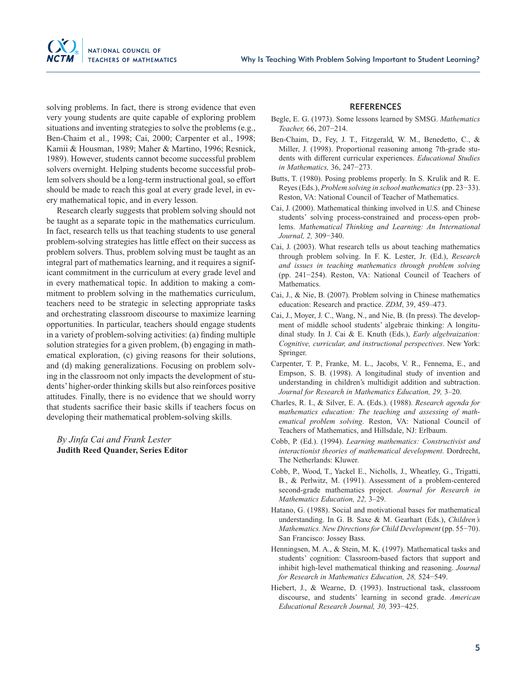solving problems. In fact, there is strong evidence that even very young students are quite capable of exploring problem situations and inventing strategies to solve the problems (e.g., Ben-Chaim et al., 1998; Cai, 2000; Carpenter et al., 1998; Kamii & Housman, 1989; Maher & Martino, 1996; Resnick, 1989). However, students cannot become successful problem solvers overnight. Helping students become successful problem solvers should be a long-term instructional goal, so effort should be made to reach this goal at every grade level, in every mathematical topic, and in every lesson.

Research clearly suggests that problem solving should not be taught as a separate topic in the mathematics curriculum. In fact, research tells us that teaching students to use general problem-solving strategies has little effect on their success as problem solvers. Thus, problem solving must be taught as an integral part of mathematics learning, and it requires a significant commitment in the curriculum at every grade level and in every mathematical topic. In addition to making a commitment to problem solving in the mathematics curriculum, teachers need to be strategic in selecting appropriate tasks and orchestrating classroom discourse to maximize learning opportunities. In particular, teachers should engage students in a variety of problem-solving activities: (a) finding multiple solution strategies for a given problem, (b) engaging in mathematical exploration, (c) giving reasons for their solutions, and (d) making generalizations. Focusing on problem solving in the classroom not only impacts the development of students' higher-order thinking skills but also reinforces positive attitudes. Finally, there is no evidence that we should worry that students sacrifice their basic skills if teachers focus on developing their mathematical problem-solving skills.

*By Jinfa Cai and Frank Lester* **Judith Reed Quander, Series Editor** 

#### **REFERENCES**

- Begle, E. G. (1973). Some lessons learned by SMSG. *Mathematics Teacher,* 66, 207−214.
- Ben-Chaim, D., Fey, J. T., Fitzgerald, W. M., Benedetto, C., & Miller, J. (1998). Proportional reasoning among 7th-grade students with different curricular experiences. *Educational Studies in Mathematics,* 36, 247−273.
- Butts, T. (1980). Posing problems properly. In S. Krulik and R. E. Reyes (Eds.), *Problem solving in school mathematics* (pp. 23−33). Reston, VA: National Council of Teacher of Mathematics.
- Cai, J. (2000). Mathematical thinking involved in U.S. and Chinese students' solving process-constrained and process-open problems. *Mathematical Thinking and Learning: An International Journal, 2,* 309−340.
- Cai, J. (2003). What research tells us about teaching mathematics through problem solving. In F. K. Lester, Jr. (Ed.), *Research and issues in teaching mathematics through problem solving* (pp. 241−254). Reston, VA: National Council of Teachers of Mathematics.
- Cai, J., & Nie, B. (2007). Problem solving in Chinese mathematics education: Research and practice. *ZDM*, 39, 459–473.
- Cai, J., Moyer, J. C., Wang, N., and Nie, B. (In press). The development of middle school students' algebraic thinking: A longitudinal study. In J. Cai & E. Knuth (Eds.), *Early algebraization: Cognitive, curricular, and instructional perspectives*. New York: Springer.
- Carpenter, T. P., Franke, M. L., Jacobs, V. R., Fennema, E., and Empson, S. B. (1998). A longitudinal study of invention and understanding in children's multidigit addition and subtraction. *Journal for Research in Mathematics Education, 29,* 3–20.
- Charles, R. I., & Silver, E. A. (Eds.). (1988). *Research agenda for mathematics education: The teaching and assessing of mathematical problem solving*. Reston, VA: National Council of Teachers of Mathematics, and Hillsdale, NJ: Erlbaum.
- Cobb, P. (Ed.). (1994). *Learning mathematics: Constructivist and interactionist theories of mathematical development*. Dordrecht, The Netherlands: Kluwer.
- Cobb, P., Wood, T., Yackel E., Nicholls, J., Wheatley, G., Trigatti, B., & Perlwitz, M. (1991). Assessment of a problem-centered second-grade mathematics project. *Journal for Research in Mathematics Education, 22,* 3–29.
- Hatano, G. (1988). Social and motivational bases for mathematical understanding. In G. B. Saxe & M. Gearhart (Eds.), *Children's Mathematics. New Directions for Child Development* (pp. 55−70). San Francisco: Jossey Bass.
- Henningsen, M. A., & Stein, M. K. (1997). Mathematical tasks and students' cognition: Classroom-based factors that support and inhibit high-level mathematical thinking and reasoning. *Journal for Research in Mathematics Education, 28,* 524−549.
- Hiebert, J., & Wearne, D. (1993). Instructional task, classroom discourse, and students' learning in second grade. *American Educational Research Journal, 30,* 393−425.